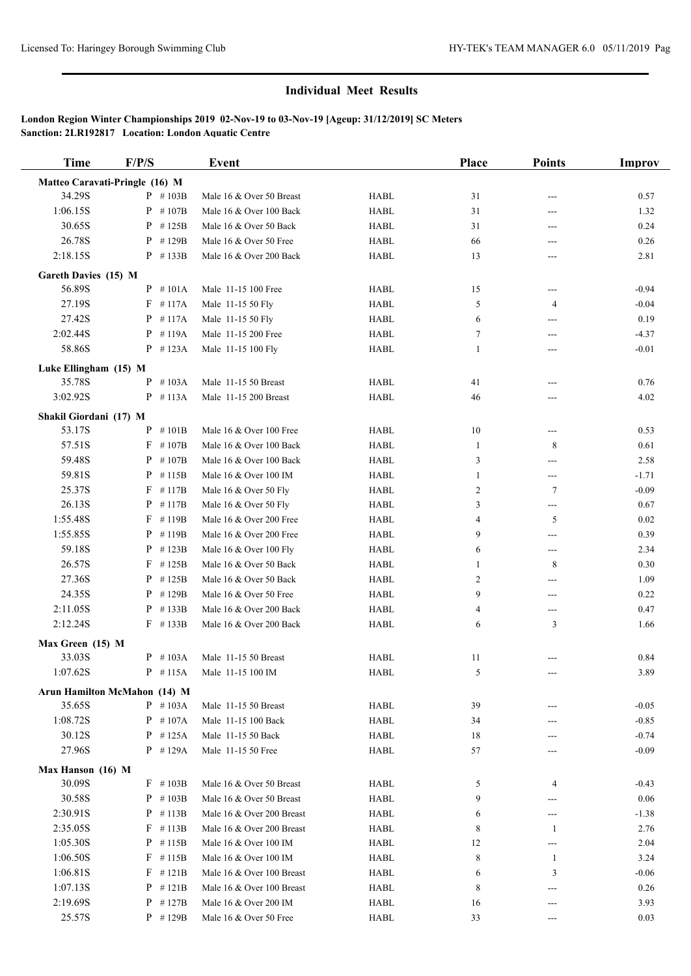# **Individual Meet Results**

# **London Region Winter Championships 2019 02-Nov-19 to 03-Nov-19 [Ageup: 31/12/2019] SC Meters Sanction: 2LR192817 Location: London Aquatic Centre**

| <b>Time</b>            | F/P/S                          | <b>Event</b>               |             | Place          | <b>Points</b>              | <b>Improv</b> |
|------------------------|--------------------------------|----------------------------|-------------|----------------|----------------------------|---------------|
|                        | Matteo Caravati-Pringle (16) M |                            |             |                |                            |               |
| 34.29S                 | $P$ #103B                      | Male 16 & Over 50 Breast   | <b>HABL</b> | 31             | $---$                      | 0.57          |
| 1:06.15S               | $P$ #107B                      | Male 16 & Over 100 Back    | <b>HABL</b> | 31             | ---                        | 1.32          |
| 30.65S                 | P<br>#125B                     | Male 16 & Over 50 Back     | <b>HABL</b> | 31             | ---                        | 0.24          |
| 26.78S                 | P<br>#129B                     | Male 16 & Over 50 Free     | <b>HABL</b> | 66             | ---                        | 0.26          |
| 2:18.15S               | $P$ #133B                      | Male 16 & Over 200 Back    | <b>HABL</b> | 13             | $---$                      | 2.81          |
| Gareth Davies (15) M   |                                |                            |             |                |                            |               |
| 56.89S                 | $P$ #101A                      | Male 11-15 100 Free        | <b>HABL</b> | 15             | ---                        | $-0.94$       |
| 27.19S                 | $F$ #117A                      | Male 11-15 50 Fly          | <b>HABL</b> | 5              | $\overline{4}$             | $-0.04$       |
| 27.42S                 | $P$ #117A                      | Male 11-15 50 Fly          | <b>HABL</b> | 6              | $---$                      | 0.19          |
| 2:02.44S               | #119A<br>P                     | Male 11-15 200 Free        | <b>HABL</b> | 7              | ---                        | $-4.37$       |
| 58.86S                 | $P$ #123A                      | Male 11-15 100 Fly         | <b>HABL</b> | 1              | ---                        | $-0.01$       |
| Luke Ellingham (15) M  |                                |                            |             |                |                            |               |
| 35.78S                 | #103A<br>P                     | Male 11-15 50 Breast       | <b>HABL</b> | 41             | ---                        | 0.76          |
| 3:02.92S               | $P$ #113A                      | Male 11-15 200 Breast      | <b>HABL</b> | 46             | $---$                      | 4.02          |
|                        |                                |                            |             |                |                            |               |
| Shakil Giordani (17) M |                                |                            |             |                |                            |               |
| 53.17S                 | $P$ #101B                      | Male 16 & Over 100 Free    | <b>HABL</b> | 10             | ---                        | 0.53          |
| 57.51S                 | #107B<br>F                     | Male 16 & Over 100 Back    | <b>HABL</b> | -1             | 8                          | 0.61          |
| 59.48S                 | P<br>#107B                     | Male 16 & Over 100 Back    | <b>HABL</b> | 3              | ---                        | 2.58          |
| 59.81S                 | $P$ #115B                      | Male 16 & Over 100 IM      | <b>HABL</b> | $\mathbf{1}$   | $\qquad \qquad \text{---}$ | $-1.71$       |
| 25.37S                 | #117B<br>F                     | Male 16 & Over 50 Fly      | <b>HABL</b> | $\overline{2}$ | $7\phantom{.0}$            | $-0.09$       |
| 26.13S                 | # 117B<br>P                    | Male 16 & Over 50 Fly      | <b>HABL</b> | 3              | ---                        | 0.67          |
| 1:55.48S               | #119B<br>F                     | Male 16 & Over 200 Free    | <b>HABL</b> | 4              | 5                          | 0.02          |
| 1:55.85S               | P<br>#119B                     | Male 16 & Over 200 Free    | <b>HABL</b> | 9              | ---                        | 0.39          |
| 59.18S                 | P<br>#123B                     | Male 16 & Over 100 Fly     | <b>HABL</b> | 6              | ---                        | 2.34          |
| 26.57S                 | F<br>#125B                     | Male 16 & Over 50 Back     | <b>HABL</b> | 1              | 8                          | 0.30          |
| 27.36S                 | $P$ #125B                      | Male 16 & Over 50 Back     | <b>HABL</b> | $\overline{2}$ | ---                        | 1.09          |
| 24.35S                 | $P$ #129B                      | Male 16 & Over 50 Free     | <b>HABL</b> | 9              | ---                        | 0.22          |
| 2:11.05S               | P<br>#133B                     | Male 16 & Over 200 Back    | <b>HABL</b> | 4              | ---                        | 0.47          |
| 2:12.24S               | $F$ #133B                      | Male 16 & Over 200 Back    | <b>HABL</b> | 6              | 3                          | 1.66          |
| Max Green (15) M       |                                |                            |             |                |                            |               |
| 33.03S                 | $P$ #103A                      | Male 11-15 50 Breast       | <b>HABL</b> | 11             |                            | 0.84          |
| 1:07.62S               | $P$ # 115A                     | Male 11-15 100 IM          | <b>HABL</b> | 5              |                            | 3.89          |
|                        | Arun Hamilton McMahon (14) M   |                            |             |                |                            |               |
| 35.65S                 | $P$ #103A                      | Male 11-15 50 Breast       | HABL        | 39             |                            | $-0.05$       |
| 1:08.72S               | $P$ #107A                      | Male 11-15 100 Back        | <b>HABL</b> | 34             | ---                        | $-0.85$       |
| 30.12S                 | $P$ #125A                      | Male 11-15 50 Back         | <b>HABL</b> | 18             |                            | $-0.74$       |
| 27.96S                 | $P$ #129A                      | Male 11-15 50 Free         | HABL        | 57             |                            | $-0.09$       |
| Max Hanson (16) M      |                                |                            |             |                |                            |               |
| 30.09S                 | $F$ #103B                      | Male 16 & Over 50 Breast   | HABL        | 5              | 4                          | $-0.43$       |
| 30.58S                 | $P$ # 103B                     | Male 16 & Over 50 Breast   | HABL        | 9              | ---                        | 0.06          |
| 2:30.91S               | $P$ #113B                      | Male 16 & Over 200 Breast  | HABL        | 6              | ---                        | $-1.38$       |
| 2:35.05S               | $F$ #113B                      | Male 16 & Over 200 Breast  | <b>HABL</b> | 8              | $\mathbf{1}$               | 2.76          |
| 1:05.30S               | $P$ # 115B                     | Male $16 \&$ Over $100$ IM | HABL        | 12             |                            | 2.04          |
| 1:06.50S               | $F$ #115B                      | Male 16 & Over 100 IM      | HABL        | 8              | 1                          | 3.24          |
| 1:06.81S               | $F$ #121B                      | Male 16 & Over 100 Breast  | HABL        | 6              | 3                          | $-0.06$       |
| 1:07.13S               | P<br># 121B                    | Male 16 & Over 100 Breast  | HABL        | 8              | ---                        | 0.26          |
| 2:19.69S               | $P$ # 127B                     | Male 16 & Over 200 IM      | HABL        | 16             |                            | 3.93          |
| 25.57S                 | $P$ #129B                      | Male 16 & Over 50 Free     | HABL        | 33             |                            | 0.03          |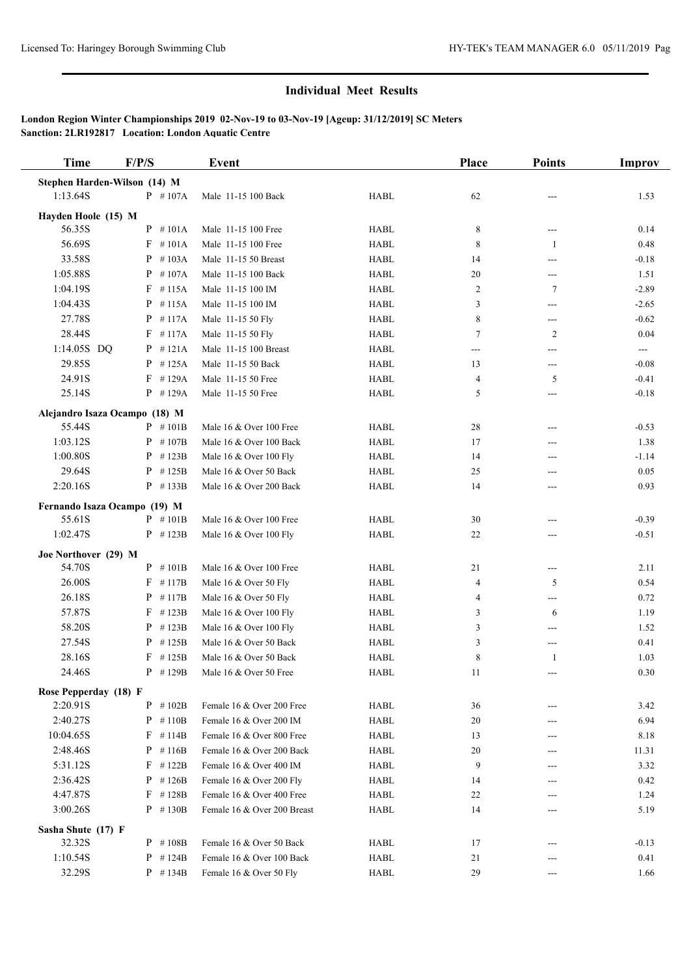# **Individual Meet Results**

# **London Region Winter Championships 2019 02-Nov-19 to 03-Nov-19 [Ageup: 31/12/2019] SC Meters Sanction: 2LR192817 Location: London Aquatic Centre**

| <b>Time</b>                   | F/P/S       | <b>Event</b>                |             | <b>Place</b> | <b>Points</b>  | Improv  |
|-------------------------------|-------------|-----------------------------|-------------|--------------|----------------|---------|
| Stephen Harden-Wilson (14) M  |             |                             |             |              |                |         |
| 1:13.64S                      | $P$ #107A   | Male 11-15 100 Back         | <b>HABL</b> | 62           |                | 1.53    |
| Hayden Hoole (15) M           |             |                             |             |              |                |         |
| 56.35S                        | $P$ #101A   | Male 11-15 100 Free         | <b>HABL</b> | 8            | ---            | 0.14    |
| 56.69S                        | #101A<br>F  | Male 11-15 100 Free         | <b>HABL</b> | 8            | 1              | 0.48    |
| 33.58S                        | #103A<br>P  | Male 11-15 50 Breast        | <b>HABL</b> | 14           | ---            | $-0.18$ |
| 1:05.88S                      | #107A<br>P  | Male 11-15 100 Back         | <b>HABL</b> | 20           | ---            | 1.51    |
| 1:04.19S                      | $F$ #115A   | Male 11-15 100 IM           | <b>HABL</b> | 2            | 7              | $-2.89$ |
| 1:04.43S                      | #115A<br>P  | Male 11-15 100 IM           | <b>HABL</b> | 3            | ---            | $-2.65$ |
| 27.78S                        | #117A<br>P  | Male 11-15 50 Fly           | <b>HABL</b> | 8            | ---            | $-0.62$ |
| 28.44S                        | $F$ #117A   | Male 11-15 50 Fly           | <b>HABL</b> | 7            | $\overline{c}$ | 0.04    |
| 1:14.05S DQ                   | $P$ #121A   | Male 11-15 100 Breast       | HABL        | ---          | ---            | ---     |
| 29.85S                        | $P$ #125A   | Male 11-15 50 Back          | <b>HABL</b> | 13           | ---            | $-0.08$ |
| 24.91S                        | $F$ #129A   | Male 11-15 50 Free          | <b>HABL</b> | 4            | 5              | $-0.41$ |
| 25.14S                        | $P$ #129A   | Male 11-15 50 Free          | <b>HABL</b> | 5            | ---            | $-0.18$ |
| Alejandro Isaza Ocampo (18) M |             |                             |             |              |                |         |
| 55.44S                        | $P$ #101B   | Male 16 & Over 100 Free     | <b>HABL</b> | 28           | ---            | $-0.53$ |
| 1:03.12S                      | $P$ #107B   | Male 16 & Over 100 Back     | <b>HABL</b> | 17           | ---            | 1.38    |
| 1:00.80S                      | $P$ #123B   | Male 16 & Over 100 Fly      | <b>HABL</b> | 14           | ---            | $-1.14$ |
| 29.64S                        | P<br>#125B  | Male 16 & Over 50 Back      | <b>HABL</b> | 25           | ---            | 0.05    |
| 2:20.16S                      | $P$ #133B   | Male 16 & Over 200 Back     | <b>HABL</b> | 14           | ---            | 0.93    |
| Fernando Isaza Ocampo (19) M  |             |                             |             |              |                |         |
| 55.61S                        | $P$ #101B   | Male 16 & Over 100 Free     | <b>HABL</b> | 30           | ---            | $-0.39$ |
| 1:02.47S                      | $P$ #123B   | Male 16 & Over 100 Fly      | <b>HABL</b> | 22           | ---            | $-0.51$ |
| Joe Northover (29) M          |             |                             |             |              |                |         |
| 54.70S                        | $P$ #101B   | Male 16 & Over 100 Free     | <b>HABL</b> | 21           | ---            | 2.11    |
| 26.00S                        | $F$ #117B   | Male 16 & Over 50 Fly       | <b>HABL</b> | 4            | 5              | 0.54    |
| 26.18S                        | #117B<br>P  | Male 16 & Over 50 Fly       | <b>HABL</b> | 4            | ---            | 0.72    |
| 57.87S                        | F<br>#123B  | Male 16 & Over 100 Fly      | <b>HABL</b> | 3            | 6              | 1.19    |
| 58.20S                        | $P$ # 123B  | Male 16 & Over 100 Fly      | <b>HABL</b> | 3            | ---            | 1.52    |
| 27.54S                        | $P$ # 125B  | Male 16 & Over 50 Back      | <b>HABL</b> | 3            | ---            | 0.41    |
| 28.16S                        | $F$ #125B   | Male 16 & Over 50 Back      | <b>HABL</b> | 8            | 1              | 1.03    |
| 24.46S                        | $P$ #129B   | Male 16 & Over 50 Free      | <b>HABL</b> | 11           |                | 0.30    |
| Rose Pepperday (18) F         |             |                             |             |              |                |         |
| 2:20.91S                      | $P$ #102B   | Female 16 & Over 200 Free   | HABL        | 36           | ---            | 3.42    |
| 2:40.27S                      | $P$ #110B   | Female 16 & Over 200 IM     | <b>HABL</b> | 20           |                | 6.94    |
| 10:04.65S                     | F<br># 114B | Female 16 & Over 800 Free   | <b>HABL</b> | 13           |                | 8.18    |
| 2:48.46S                      | P<br>#116B  | Female 16 & Over 200 Back   | <b>HABL</b> | 20           | ---            | 11.31   |
| 5:31.12S                      | F<br>#122B  | Female 16 & Over 400 IM     | HABL        | 9            | ---            | 3.32    |
| 2:36.42S                      | P<br>#126B  | Female 16 & Over 200 Fly    | HABL        | 14           |                | 0.42    |
| 4:47.87S                      | $F$ #128B   | Female 16 & Over 400 Free   | <b>HABL</b> | 22           |                | 1.24    |
| 3:00.26S                      | $P$ #130B   | Female 16 & Over 200 Breast | HABL        | 14           |                | 5.19    |
| Sasha Shute (17) F            |             |                             |             |              |                |         |
| 32.32S                        | $P$ # 108B  | Female 16 & Over 50 Back    | HABL        | 17           |                | $-0.13$ |
| 1:10.54S                      | $P$ # 124B  | Female 16 & Over 100 Back   | <b>HABL</b> | 21           |                | 0.41    |
| 32.29S                        | $P$ #134B   | Female 16 & Over 50 Fly     | HABL        | 29           | ---            | 1.66    |